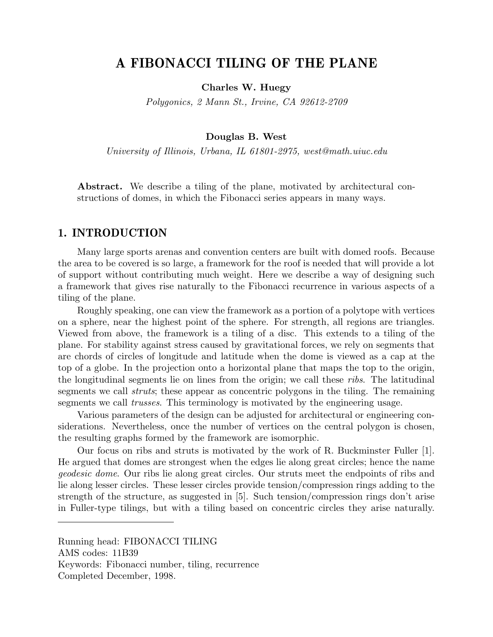# A FIBONACCI TILING OF THE PLANE

Charles W. Huegy

Polygonics, 2 Mann St., Irvine, CA 92612-2709

#### Douglas B. West

University of Illinois, Urbana, IL 61801-2975, west@math.uiuc.edu

Abstract. We describe a tiling of the plane, motivated by architectural constructions of domes, in which the Fibonacci series appears in many ways.

## 1. INTRODUCTION

Many large sports arenas and convention centers are built with domed roofs. Because the area to be covered is so large, a framework for the roof is needed that will provide a lot of support without contributing much weight. Here we describe a way of designing such a framework that gives rise naturally to the Fibonacci recurrence in various aspects of a tiling of the plane.

Roughly speaking, one can view the framework as a portion of a polytope with vertices on a sphere, near the highest point of the sphere. For strength, all regions are triangles. Viewed from above, the framework is a tiling of a disc. This extends to a tiling of the plane. For stability against stress caused by gravitational forces, we rely on segments that are chords of circles of longitude and latitude when the dome is viewed as a cap at the top of a globe. In the projection onto a horizontal plane that maps the top to the origin, the longitudinal segments lie on lines from the origin; we call these ribs. The latitudinal segments we call struts; these appear as concentric polygons in the tiling. The remaining segments we call trusses. This terminology is motivated by the engineering usage.

Various parameters of the design can be adjusted for architectural or engineering considerations. Nevertheless, once the number of vertices on the central polygon is chosen, the resulting graphs formed by the framework are isomorphic.

Our focus on ribs and struts is motivated by the work of R. Buckminster Fuller [1]. He argued that domes are strongest when the edges lie along great circles; hence the name geodesic dome. Our ribs lie along great circles. Our struts meet the endpoints of ribs and lie along lesser circles. These lesser circles provide tension/compression rings adding to the strength of the structure, as suggested in [5]. Such tension/compression rings don't arise in Fuller-type tilings, but with a tiling based on concentric circles they arise naturally.

Running head: FIBONACCI TILING AMS codes: 11B39 Keywords: Fibonacci number, tiling, recurrence Completed December, 1998.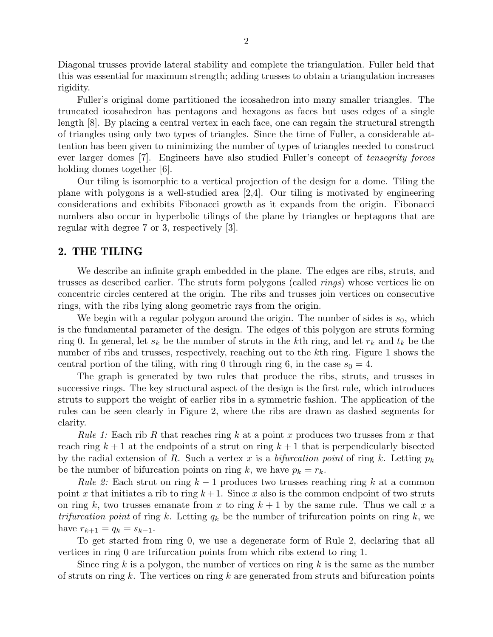Diagonal trusses provide lateral stability and complete the triangulation. Fuller held that this was essential for maximum strength; adding trusses to obtain a triangulation increases rigidity.

Fuller's original dome partitioned the icosahedron into many smaller triangles. The truncated icosahedron has pentagons and hexagons as faces but uses edges of a single length [8]. By placing a central vertex in each face, one can regain the structural strength of triangles using only two types of triangles. Since the time of Fuller, a considerable attention has been given to minimizing the number of types of triangles needed to construct ever larger domes [7]. Engineers have also studied Fuller's concept of tensegrity forces holding domes together [6].

Our tiling is isomorphic to a vertical projection of the design for a dome. Tiling the plane with polygons is a well-studied area [2,4]. Our tiling is motivated by engineering considerations and exhibits Fibonacci growth as it expands from the origin. Fibonacci numbers also occur in hyperbolic tilings of the plane by triangles or heptagons that are regular with degree 7 or 3, respectively [3].

## 2. THE TILING

We describe an infinite graph embedded in the plane. The edges are ribs, struts, and trusses as described earlier. The struts form polygons (called rings) whose vertices lie on concentric circles centered at the origin. The ribs and trusses join vertices on consecutive rings, with the ribs lying along geometric rays from the origin.

We begin with a regular polygon around the origin. The number of sides is  $s_0$ , which is the fundamental parameter of the design. The edges of this polygon are struts forming ring 0. In general, let  $s_k$  be the number of struts in the kth ring, and let  $r_k$  and  $t_k$  be the number of ribs and trusses, respectively, reaching out to the kth ring. Figure 1 shows the central portion of the tiling, with ring 0 through ring 6, in the case  $s_0 = 4$ .

The graph is generated by two rules that produce the ribs, struts, and trusses in successive rings. The key structural aspect of the design is the first rule, which introduces struts to support the weight of earlier ribs in a symmetric fashion. The application of the rules can be seen clearly in Figure 2, where the ribs are drawn as dashed segments for clarity.

*Rule 1:* Each rib R that reaches ring k at a point x produces two trusses from x that reach ring  $k + 1$  at the endpoints of a strut on ring  $k + 1$  that is perpendicularly bisected by the radial extension of R. Such a vertex x is a bifurcation point of ring k. Letting  $p_k$ be the number of bifurcation points on ring k, we have  $p_k = r_k$ .

Rule 2: Each strut on ring  $k-1$  produces two trusses reaching ring k at a common point x that initiates a rib to ring  $k+1$ . Since x also is the common endpoint of two struts on ring k, two trusses emanate from x to ring  $k+1$  by the same rule. Thus we call x a trifurcation point of ring k. Letting  $q_k$  be the number of trifurcation points on ring k, we have  $r_{k+1} = q_k = s_{k-1}$ .

To get started from ring 0, we use a degenerate form of Rule 2, declaring that all vertices in ring 0 are trifurcation points from which ribs extend to ring 1.

Since ring k is a polygon, the number of vertices on ring  $k$  is the same as the number of struts on ring k. The vertices on ring k are generated from struts and bifurcation points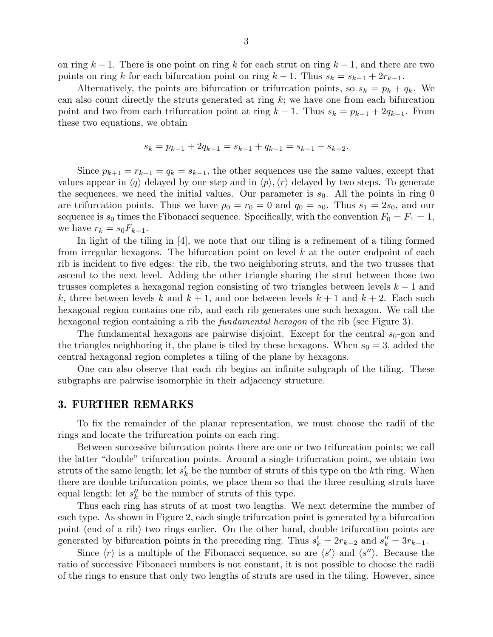on ring  $k-1$ . There is one point on ring k for each strut on ring  $k-1$ , and there are two points on ring k for each bifurcation point on ring  $k - 1$ . Thus  $s_k = s_{k-1} + 2r_{k-1}$ .

Alternatively, the points are bifurcation or trifurcation points, so  $s_k = p_k + q_k$ . We can also count directly the struts generated at ring  $k$ ; we have one from each bifurcation point and two from each trifurcation point at ring  $k - 1$ . Thus  $s_k = p_{k-1} + 2q_{k-1}$ . From these two equations, we obtain

$$
s_k = p_{k-1} + 2q_{k-1} = s_{k-1} + q_{k-1} = s_{k-1} + s_{k-2}.
$$

Since  $p_{k+1} = r_{k+1} = q_k = s_{k-1}$ , the other sequences use the same values, except that values appear in  $\langle q \rangle$  delayed by one step and in  $\langle p \rangle$ ,  $\langle r \rangle$  delayed by two steps. To generate the sequences, we need the initial values. Our parameter is  $s_0$ . All the points in ring 0 are trifurcation points. Thus we have  $p_0 = r_0 = 0$  and  $q_0 = s_0$ . Thus  $s_1 = 2s_0$ , and our sequence is  $s_0$  times the Fibonacci sequence. Specifically, with the convention  $F_0 = F_1 = 1$ , we have  $r_k = s_0 F_{k-1}$ .

In light of the tiling in [4], we note that our tiling is a refinement of a tiling formed from irregular hexagons. The bifurcation point on level  $k$  at the outer endpoint of each rib is incident to five edges: the rib, the two neighboring struts, and the two trusses that ascend to the next level. Adding the other triangle sharing the strut between those two trusses completes a hexagonal region consisting of two triangles between levels  $k - 1$  and k, three between levels k and  $k + 1$ , and one between levels  $k + 1$  and  $k + 2$ . Each such hexagonal region contains one rib, and each rib generates one such hexagon. We call the hexagonal region containing a rib the *fundamental hexagon* of the rib (see Figure 3).

The fundamental hexagons are pairwise disjoint. Except for the central  $s_0$ -gon and the triangles neighboring it, the plane is tiled by these hexagons. When  $s_0 = 3$ , added the central hexagonal region completes a tiling of the plane by hexagons.

One can also observe that each rib begins an infinite subgraph of the tiling. These subgraphs are pairwise isomorphic in their adjacency structure.

### 3. FURTHER REMARKS

To fix the remainder of the planar representation, we must choose the radii of the rings and locate the trifurcation points on each ring.

Between successive bifurcation points there are one or two trifurcation points; we call the latter "double" trifurcation points. Around a single trifurcation point, we obtain two struts of the same length; let  $s'_{l}$  $k'$  be the number of struts of this type on the k<sup>th</sup> ring. When there are double trifurcation points, we place them so that the three resulting struts have equal length; let  $s_k''$  $\frac{y}{k}$  be the number of struts of this type.

Thus each ring has struts of at most two lengths. We next determine the number of each type. As shown in Figure 2, each single trifurcation point is generated by a bifurcation point (end of a rib) two rings earlier. On the other hand, double trifurcation points are generated by bifurcation points in the preceding ring. Thus  $s'_k = 2r_{k-2}$  and  $s''_k = 3r_{k-1}$ .

Since  $\langle r \rangle$  is a multiple of the Fibonacci sequence, so are  $\langle s' \rangle$  and  $\langle s'' \rangle$ . Because the ratio of successive Fibonacci numbers is not constant, it is not possible to choose the radii of the rings to ensure that only two lengths of struts are used in the tiling. However, since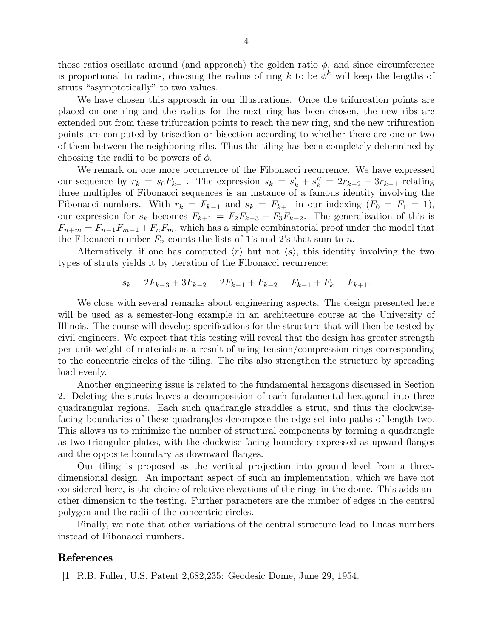those ratios oscillate around (and approach) the golden ratio  $\phi$ , and since circumference is proportional to radius, choosing the radius of ring k to be  $\phi^k$  will keep the lengths of struts "asymptotically" to two values.

We have chosen this approach in our illustrations. Once the trifurcation points are placed on one ring and the radius for the next ring has been chosen, the new ribs are extended out from these trifurcation points to reach the new ring, and the new trifurcation points are computed by trisection or bisection according to whether there are one or two of them between the neighboring ribs. Thus the tiling has been completely determined by choosing the radii to be powers of  $\phi$ .

We remark on one more occurrence of the Fibonacci recurrence. We have expressed our sequence by  $r_k = s_0 F_{k-1}$ . The expression  $s_k = s'_k + s''_k = 2r_{k-2} + 3r_{k-1}$  relating three multiples of Fibonacci sequences is an instance of a famous identity involving the Fibonacci numbers. With  $r_k = F_{k-1}$  and  $s_k = F_{k+1}$  in our indexing  $(F_0 = F_1 = 1)$ , our expression for  $s_k$  becomes  $F_{k+1} = F_2F_{k-3} + F_3F_{k-2}$ . The generalization of this is  $F_{n+m} = F_{n-1}F_{m-1} + F_nF_m$ , which has a simple combinatorial proof under the model that the Fibonacci number  $F_n$  counts the lists of 1's and 2's that sum to n.

Alternatively, if one has computed  $\langle r \rangle$  but not  $\langle s \rangle$ , this identity involving the two types of struts yields it by iteration of the Fibonacci recurrence:

$$
s_k = 2F_{k-3} + 3F_{k-2} = 2F_{k-1} + F_{k-2} = F_{k-1} + F_k = F_{k+1}.
$$

We close with several remarks about engineering aspects. The design presented here will be used as a semester-long example in an architecture course at the University of Illinois. The course will develop specifications for the structure that will then be tested by civil engineers. We expect that this testing will reveal that the design has greater strength per unit weight of materials as a result of using tension/compression rings corresponding to the concentric circles of the tiling. The ribs also strengthen the structure by spreading load evenly.

Another engineering issue is related to the fundamental hexagons discussed in Section 2. Deleting the struts leaves a decomposition of each fundamental hexagonal into three quadrangular regions. Each such quadrangle straddles a strut, and thus the clockwisefacing boundaries of these quadrangles decompose the edge set into paths of length two. This allows us to minimize the number of structural components by forming a quadrangle as two triangular plates, with the clockwise-facing boundary expressed as upward flanges and the opposite boundary as downward flanges.

Our tiling is proposed as the vertical projection into ground level from a threedimensional design. An important aspect of such an implementation, which we have not considered here, is the choice of relative elevations of the rings in the dome. This adds another dimension to the testing. Further parameters are the number of edges in the central polygon and the radii of the concentric circles.

Finally, we note that other variations of the central structure lead to Lucas numbers instead of Fibonacci numbers.

### References

[1] R.B. Fuller, U.S. Patent 2,682,235: Geodesic Dome, June 29, 1954.